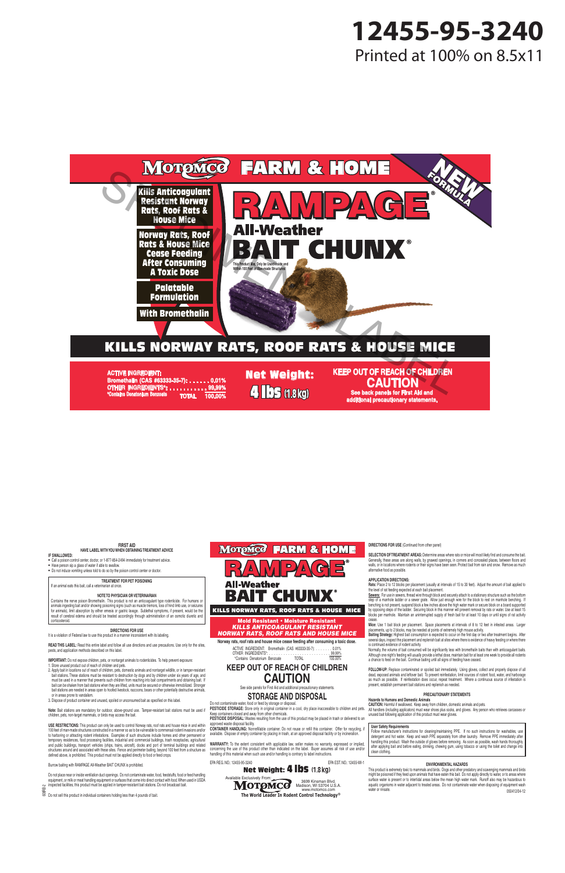

# KILLS NORWAY RATS, ROOF RATS & HOUSE MICE

**ACTIVE INGREDIENT: Bromethalin (CAS #63333-35-7): . . . . . . 0.01% OTHER INGREDIENTS\*: . . . . . . . . . . . 99.99%**<br>\*Contains Denatonium Benzoate **FOTAL** 

**Example 20.00%** 4 **105** (1.8 kg) Net Weight:

## **KEEP OUT OF REACH OF CHILDREN CAUTION**

**See back panels for First Aid and additional precautionary statements.**